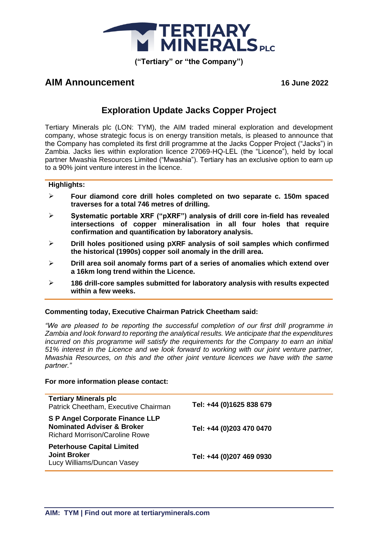

## **AIM Announcement 16 June 2022**

# **Exploration Update Jacks Copper Project**

Tertiary Minerals plc (LON: TYM), the AIM traded mineral exploration and development company, whose strategic focus is on energy transition metals, is pleased to announce that the Company has completed its first drill programme at the Jacks Copper Project ("Jacks") in Zambia. Jacks lies within exploration licence 27069-HQ-LEL (the "Licence"), held by local partner Mwashia Resources Limited ("Mwashia"). Tertiary has an exclusive option to earn up to a 90% joint venture interest in the licence.

### **Highlights:**

- ➢ **Four diamond core drill holes completed on two separate c. 150m spaced traverses for a total 746 metres of drilling.**
- ➢ **Systematic portable XRF ("pXRF") analysis of drill core in-field has revealed intersections of copper mineralisation in all four holes that require confirmation and quantification by laboratory analysis.**
- ➢ **Drill holes positioned using pXRF analysis of soil samples which confirmed the historical (1990s) copper soil anomaly in the drill area.**
- ➢ **Drill area soil anomaly forms part of a series of anomalies which extend over a 16km long trend within the Licence.**
- ➢ **186 drill-core samples submitted for laboratory analysis with results expected within a few weeks.**

### **Commenting today, Executive Chairman Patrick Cheetham said:**

*"We are pleased to be reporting the successful completion of our first drill programme in Zambia and look forward to reporting the analytical results. We anticipate that the expenditures incurred on this programme will satisfy the requirements for the Company to earn an initial 51% interest in the Licence and we look forward to working with our joint venture partner, Mwashia Resources, on this and the other joint venture licences we have with the same partner."*

### **For more information please contact:**

| <b>Tertiary Minerals plc</b><br>Patrick Cheetham, Executive Chairman                                                     | Tel: +44 (0)1625 838 679 |
|--------------------------------------------------------------------------------------------------------------------------|--------------------------|
| <b>S P Angel Corporate Finance LLP</b><br><b>Nominated Adviser &amp; Broker</b><br><b>Richard Morrison/Caroline Rowe</b> | Tel: +44 (0)203 470 0470 |
| <b>Peterhouse Capital Limited</b><br><b>Joint Broker</b><br>Lucy Williams/Duncan Vasey                                   | Tel: +44 (0)207 469 0930 |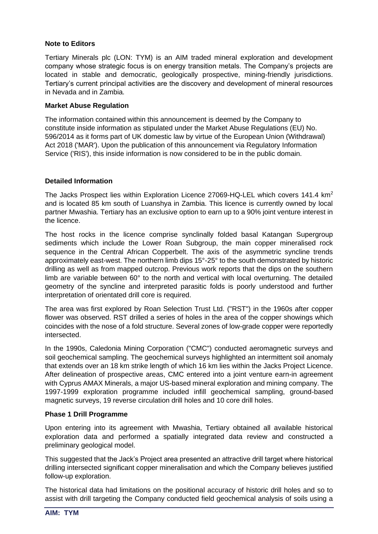## **Note to Editors**

Tertiary Minerals plc (LON: TYM) is an AIM traded mineral exploration and development company whose strategic focus is on energy transition metals. The Company's projects are located in stable and democratic, geologically prospective, mining-friendly jurisdictions. Tertiary's current principal activities are the discovery and development of mineral resources in Nevada and in Zambia.

### **Market Abuse Regulation**

The information contained within this announcement is deemed by the Company to constitute inside information as stipulated under the Market Abuse Regulations (EU) No. 596/2014 as it forms part of UK domestic law by virtue of the European Union (Withdrawal) Act 2018 ('MAR'). Upon the publication of this announcement via Regulatory Information Service ('RIS'), this inside information is now considered to be in the public domain.

## **Detailed Information**

The Jacks Prospect lies within Exploration Licence 27069-HQ-LEL which covers 141.4  $km^2$ and is located 85 km south of Luanshya in Zambia. This licence is currently owned by local partner Mwashia. Tertiary has an exclusive option to earn up to a 90% joint venture interest in the licence.

The host rocks in the licence comprise synclinally folded basal Katangan Supergroup sediments which include the Lower Roan Subgroup, the main copper mineralised rock sequence in the Central African Copperbelt. The axis of the asymmetric syncline trends approximately east-west. The northern limb dips 15°-25° to the south demonstrated by historic drilling as well as from mapped outcrop. Previous work reports that the dips on the southern limb are variable between 60° to the north and vertical with local overturning. The detailed geometry of the syncline and interpreted parasitic folds is poorly understood and further interpretation of orientated drill core is required.

The area was first explored by Roan Selection Trust Ltd. ("RST") in the 1960s after copper flower was observed. RST drilled a series of holes in the area of the copper showings which coincides with the nose of a fold structure. Several zones of low-grade copper were reportedly intersected.

In the 1990s, Caledonia Mining Corporation ("CMC") conducted aeromagnetic surveys and soil geochemical sampling. The geochemical surveys highlighted an intermittent soil anomaly that extends over an 18 km strike length of which 16 km lies within the Jacks Project Licence. After delineation of prospective areas, CMC entered into a joint venture earn-in agreement with Cyprus AMAX Minerals, a major US-based mineral exploration and mining company. The 1997-1999 exploration programme included infill geochemical sampling, ground-based magnetic surveys, 19 reverse circulation drill holes and 10 core drill holes.

## **Phase 1 Drill Programme**

Upon entering into its agreement with Mwashia, Tertiary obtained all available historical exploration data and performed a spatially integrated data review and constructed a preliminary geological model.

This suggested that the Jack's Project area presented an attractive drill target where historical drilling intersected significant copper mineralisation and which the Company believes justified follow-up exploration.

The historical data had limitations on the positional accuracy of historic drill holes and so to assist with drill targeting the Company conducted field geochemical analysis of soils using a